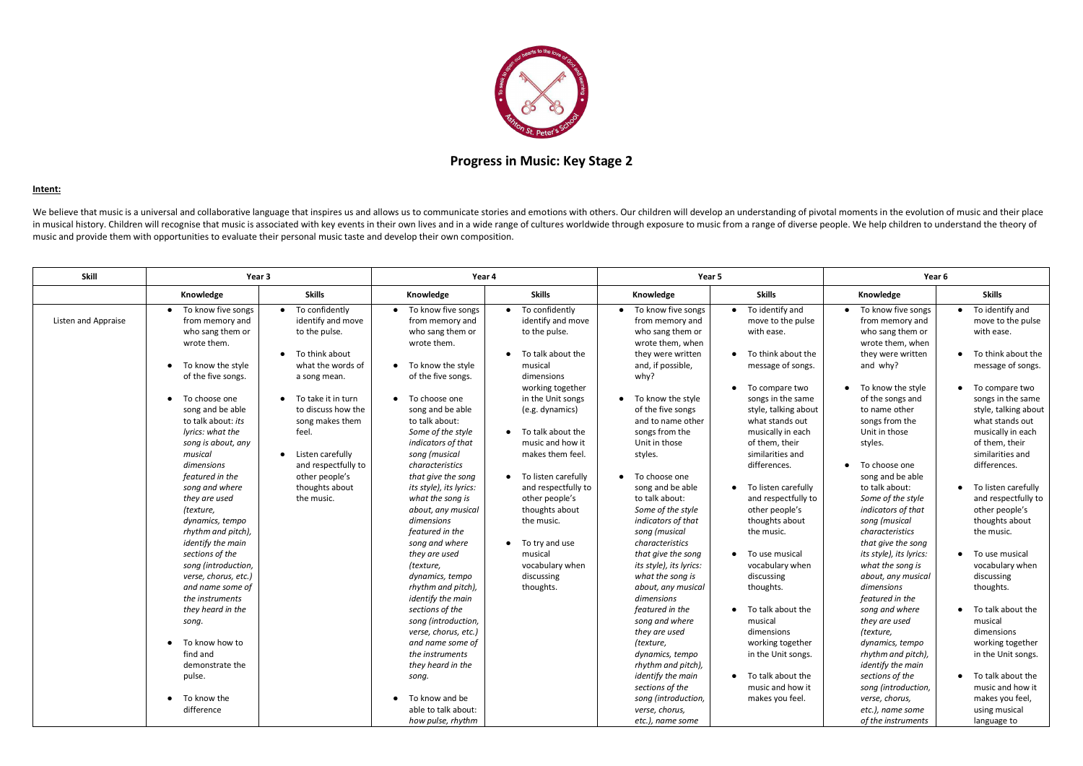

## **Progress in Music: Key Stage 2**

## **Intent:**

We believe that music is a universal and collaborative language that inspires us and allows us to communicate stories and emotions with others. Our children will develop an understanding of pivotal moments in the evolution in musical history. Children will recognise that music is associated with key events in their own lives and in a wide range of cultures worldwide through exposure to music from a range of diverse people. We help children t music and provide them with opportunities to evaluate their personal music taste and develop their own composition.

| Skill               | Year 3                                                                                                                                                                                                                                                                                                                                                            |                                                                                                                                                                                                                                                                                                                        | Year 4                                                                                                                                                                                                                                                                                                                                                                                |                                                                                                                                                                                                                                                                                                                                   | Year 5                                                                                                                                                                                                                                                                                                                                                                |                                                                                                                                                                                                                                                                                                                                                            | Year 6                                                                                                                                                                                                                                                                                                                                                         |                                                                                                                                                                                                                                                                                                                                                                            |
|---------------------|-------------------------------------------------------------------------------------------------------------------------------------------------------------------------------------------------------------------------------------------------------------------------------------------------------------------------------------------------------------------|------------------------------------------------------------------------------------------------------------------------------------------------------------------------------------------------------------------------------------------------------------------------------------------------------------------------|---------------------------------------------------------------------------------------------------------------------------------------------------------------------------------------------------------------------------------------------------------------------------------------------------------------------------------------------------------------------------------------|-----------------------------------------------------------------------------------------------------------------------------------------------------------------------------------------------------------------------------------------------------------------------------------------------------------------------------------|-----------------------------------------------------------------------------------------------------------------------------------------------------------------------------------------------------------------------------------------------------------------------------------------------------------------------------------------------------------------------|------------------------------------------------------------------------------------------------------------------------------------------------------------------------------------------------------------------------------------------------------------------------------------------------------------------------------------------------------------|----------------------------------------------------------------------------------------------------------------------------------------------------------------------------------------------------------------------------------------------------------------------------------------------------------------------------------------------------------------|----------------------------------------------------------------------------------------------------------------------------------------------------------------------------------------------------------------------------------------------------------------------------------------------------------------------------------------------------------------------------|
|                     | Knowledge                                                                                                                                                                                                                                                                                                                                                         | <b>Skills</b>                                                                                                                                                                                                                                                                                                          | Knowledge                                                                                                                                                                                                                                                                                                                                                                             | <b>Skills</b>                                                                                                                                                                                                                                                                                                                     | Knowledge                                                                                                                                                                                                                                                                                                                                                             | <b>Skills</b>                                                                                                                                                                                                                                                                                                                                              | Knowledge                                                                                                                                                                                                                                                                                                                                                      | <b>Skills</b>                                                                                                                                                                                                                                                                                                                                                              |
| Listen and Appraise | • To know five songs<br>from memory and<br>who sang them or<br>wrote them.<br>To know the style<br>of the five songs.<br>• To choose one<br>song and be able<br>to talk about: its<br>lyrics: what the<br>song is about, any<br>musical<br>dimensions<br>featured in the<br>song and where<br>they are used<br>(texture,<br>dynamics, tempo<br>rhythm and pitch), | To confidently<br>$\bullet$<br>identify and move<br>to the pulse.<br>• To think about<br>what the words of<br>a song mean.<br>$\bullet$ To take it in turn<br>to discuss how the<br>song makes them<br>feel.<br>Listen carefully<br>$\bullet$<br>and respectfully to<br>other people's<br>thoughts about<br>the music. | To know five songs<br>from memory and<br>who sang them or<br>wrote them.<br>To know the style<br>of the five songs.<br>To choose one<br>song and be able<br>to talk about:<br>Some of the style<br>indicators of that<br>song (musical<br>characteristics<br>that give the song<br>its style), its lyrics:<br>what the song is<br>about, any musical<br>dimensions<br>featured in the | To confidently<br>identify and move<br>to the pulse.<br>• To talk about the<br>musical<br>dimensions<br>working together<br>in the Unit songs<br>(e.g. dynamics)<br>• To talk about the<br>music and how it<br>makes them feel.<br>• To listen carefully<br>and respectfully to<br>other people's<br>thoughts about<br>the music. | • To know five songs<br>from memory and<br>who sang them or<br>wrote them, when<br>they were written<br>and, if possible,<br>why?<br>• To know the style<br>of the five songs<br>and to name other<br>songs from the<br>Unit in those<br>styles.<br>• To choose one<br>song and be able<br>to talk about:<br>Some of the style<br>indicators of that<br>song (musical | To identify and<br>move to the pulse<br>with ease.<br>To think about the<br>message of songs.<br>To compare two<br>songs in the same<br>style, talking about<br>what stands out<br>musically in each<br>of them, their<br>similarities and<br>differences.<br>To listen carefully<br>and respectfully to<br>other people's<br>thoughts about<br>the music. | To know five songs<br>from memory and<br>who sang them or<br>wrote them, when<br>they were written<br>and why?<br>• To know the style<br>of the songs and<br>to name other<br>songs from the<br>Unit in those<br>styles.<br>To choose one<br>song and be able<br>to talk about:<br>Some of the style<br>indicators of that<br>song (musical<br>characteristics | $\bullet$ To identify and<br>move to the pulse<br>with ease.<br>• To think about the<br>message of songs.<br>• To compare two<br>songs in the same<br>style, talking about<br>what stands out<br>musically in each<br>of them, their<br>similarities and<br>differences.<br>• To listen carefully<br>and respectfully to<br>other people's<br>thoughts about<br>the music. |
|                     | identify the main<br>sections of the<br>song (introduction,<br>verse, chorus, etc.)<br>and name some of<br>the instruments<br>they heard in the<br>song.<br>To know how to<br>$\bullet$<br>find and<br>demonstrate the<br>pulse.<br>To know the<br>difference                                                                                                     |                                                                                                                                                                                                                                                                                                                        | song and where<br>they are used<br>(texture,<br>dynamics, tempo<br>rhythm and pitch),<br>identify the main<br>sections of the<br>song (introduction,<br>verse, chorus, etc.)<br>and name some of<br>the instruments<br>they heard in the<br>song.<br>To know and be<br>able to talk about:<br>how pulse, rhythm                                                                       | $\bullet$ To try and use<br>musical<br>vocabulary when<br>discussing<br>thoughts.                                                                                                                                                                                                                                                 | characteristics<br>that give the song<br>its style), its lyrics:<br>what the song is<br>about, any musical<br>dimensions<br>featured in the<br>song and where<br>they are used<br>(texture,<br>dynamics, tempo<br>rhythm and pitch),<br>identify the main<br>sections of the<br>song (introduction,<br>verse, chorus,<br>etc.), name some                             | To use musical<br>vocabulary when<br>discussing<br>thoughts.<br>To talk about the<br>musical<br>dimensions<br>working together<br>in the Unit songs.<br>To talk about the<br>music and how it<br>makes you feel.                                                                                                                                           | that give the song<br>its style), its lyrics:<br>what the song is<br>about, any musical<br>dimensions<br>featured in the<br>song and where<br>they are used<br>(texture,<br>dynamics, tempo<br>rhythm and pitch),<br>identify the main<br>sections of the<br>song (introduction,<br>verse, chorus,<br>etc.), name some<br>of the instruments                   | • To use musical<br>vocabulary when<br>discussing<br>thoughts.<br>• To talk about the<br>musical<br>dimensions<br>working together<br>in the Unit songs.<br>• To talk about the<br>music and how it<br>makes you feel,<br>using musical<br>language to                                                                                                                     |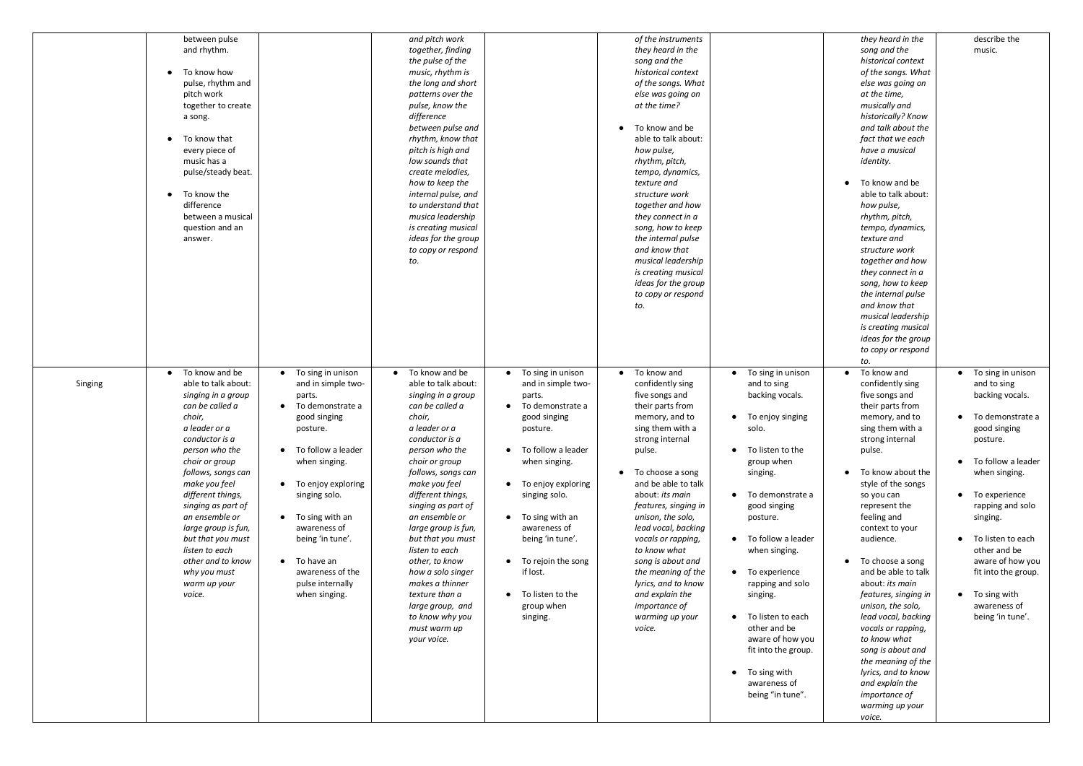|         | between pulse<br>and rhythm.<br>To know how<br>pulse, rhythm and<br>pitch work<br>together to create<br>a song.<br>To know that<br>$\bullet$<br>every piece of<br>music has a<br>pulse/steady beat.<br>To know the<br>$\bullet$<br>difference<br>between a musical<br>question and an<br>answer.                                                                                                              |                                                                                                                                                                                                                                                                                                               | and pitch work<br>together, finding<br>the pulse of the<br>music, rhythm is<br>the long and short<br>patterns over the<br>pulse, know the<br>difference<br>between pulse and<br>rhythm, know that<br>pitch is high and<br>low sounds that<br>create melodies,<br>how to keep the<br>internal pulse, and<br>to understand that<br>musica leadership<br>is creating musical<br>ideas for the group<br>to copy or respond<br>to.                                                                    |                                                                                                                                                                                                                                                                                                                                                               | of the instruments<br>they heard in the<br>song and the<br>historical context<br>of the songs. What<br>else was going on<br>at the time?<br>To know and be<br>able to talk about:<br>how pulse,<br>rhythm, pitch,<br>tempo, dynamics,<br>texture and<br>structure work<br>together and how<br>they connect in a<br>song, how to keep<br>the internal pulse<br>and know that<br>musical leadership<br>is creating musical<br>ideas for the group<br>to copy or respond<br>to. |                                                                                                                                                                                                                                                                                                                                                                                                            |
|---------|---------------------------------------------------------------------------------------------------------------------------------------------------------------------------------------------------------------------------------------------------------------------------------------------------------------------------------------------------------------------------------------------------------------|---------------------------------------------------------------------------------------------------------------------------------------------------------------------------------------------------------------------------------------------------------------------------------------------------------------|--------------------------------------------------------------------------------------------------------------------------------------------------------------------------------------------------------------------------------------------------------------------------------------------------------------------------------------------------------------------------------------------------------------------------------------------------------------------------------------------------|---------------------------------------------------------------------------------------------------------------------------------------------------------------------------------------------------------------------------------------------------------------------------------------------------------------------------------------------------------------|------------------------------------------------------------------------------------------------------------------------------------------------------------------------------------------------------------------------------------------------------------------------------------------------------------------------------------------------------------------------------------------------------------------------------------------------------------------------------|------------------------------------------------------------------------------------------------------------------------------------------------------------------------------------------------------------------------------------------------------------------------------------------------------------------------------------------------------------------------------------------------------------|
| Singing | To know and be<br>$\bullet$<br>able to talk about:<br>singing in a group<br>can be called a<br>choir,<br>a leader or a<br>conductor is a<br>person who the<br>choir or group<br>follows, songs can<br>make you feel<br>different things,<br>singing as part of<br>an ensemble or<br>large group is fun,<br>but that you must<br>listen to each<br>other and to know<br>why you must<br>warm up your<br>voice. | To sing in unison<br>and in simple two-<br>parts.<br>To demonstrate a<br>good singing<br>posture.<br>To follow a leader<br>when singing.<br>To enjoy exploring<br>singing solo.<br>To sing with an<br>awareness of<br>being 'in tune'.<br>To have an<br>awareness of the<br>pulse internally<br>when singing. | To know and be<br>$\bullet$<br>able to talk about:<br>singing in a group<br>can be called a<br>choir,<br>a leader or a<br>conductor is a<br>person who the<br>choir or group<br>follows, songs can<br>make you feel<br>different things,<br>singing as part of<br>an ensemble or<br>large group is fun,<br>but that you must<br>listen to each<br>other, to know<br>how a solo singer<br>makes a thinner<br>texture than a<br>large group, and<br>to know why you<br>must warm up<br>your voice. | To sing in unison<br>and in simple two-<br>parts.<br>To demonstrate a<br>good singing<br>posture.<br>To follow a leader<br>$\bullet$<br>when singing.<br>To enjoy exploring<br>$\bullet$<br>singing solo.<br>To sing with an<br>awareness of<br>being 'in tune'.<br>To rejoin the song<br>if lost.<br>To listen to the<br>$\bullet$<br>group when<br>singing. | To know and<br>$\bullet$<br>confidently sing<br>five songs and<br>their parts from<br>memory, and to<br>sing them with a<br>strong internal<br>pulse.<br>To choose a song<br>and be able to talk<br>about: its main<br>features, singing in<br>unison, the solo,<br>lead vocal, backing<br>vocals or rapping,<br>to know what<br>song is about and<br>the meaning of the<br>lyrics, and to know<br>and explain the<br>importance of<br>warming up your<br>voice.             | To sing in unison<br>and to sing<br>backing vocals.<br>To enjoy singing<br>solo.<br>To listen to the<br>group when<br>singing.<br>To demonstrate a<br>good singing<br>posture.<br>To follow a leader<br>when singing.<br>To experience<br>rapping and solo<br>singing.<br>To listen to each<br>other and be<br>aware of how you<br>fit into the group.<br>To sing with<br>awareness of<br>being "in tune". |

| they heard in the<br>song and the<br>historical context<br>of the songs. What<br>else was going on<br>at the time,<br>musically and<br>historically? Know<br>and talk about the<br>fact that we each<br>have a musical<br>identity.                                                                                              | describe the<br>music.                                                                                                    |
|----------------------------------------------------------------------------------------------------------------------------------------------------------------------------------------------------------------------------------------------------------------------------------------------------------------------------------|---------------------------------------------------------------------------------------------------------------------------|
| To know and be<br>able to talk about:<br>how pulse,<br>rhythm, pitch,<br>tempo, dynamics,<br>texture and<br>structure work<br>together and how<br>they connect in a<br>song, how to keep<br>the internal pulse<br>and know that<br>musical leadership<br>is creating musical<br>ideas for the group<br>to copy or respond<br>to. |                                                                                                                           |
| To know and<br>confidently sing<br>five songs and<br>their parts from<br>memory, and to<br>sing them with a<br>strong internal<br>pulse.                                                                                                                                                                                         | To sing in unison<br>and to sing<br>backing vocals.<br>To demonstrate a<br>good singing<br>posture.<br>To follow a leader |
| To know about the<br>style of the songs<br>so you can<br>represent the<br>feeling and<br>context to your<br>audience.                                                                                                                                                                                                            | when singing.<br>To experience<br>rapping and solo<br>singing.<br>To listen to each<br>other and be                       |
| To choose a song<br>and be able to talk<br>about: its main<br>features, singing in<br>unison, the solo,<br>lead vocal, backing<br>vocals or rapping,<br>to know what<br>song is about and<br>the meaning of the<br>lyrics, and to know<br>and explain the<br>importance of<br>warming up your<br>voice.                          | aware of how you<br>fit into the group.<br>To sing with<br>awareness of<br>being 'in tune'.                               |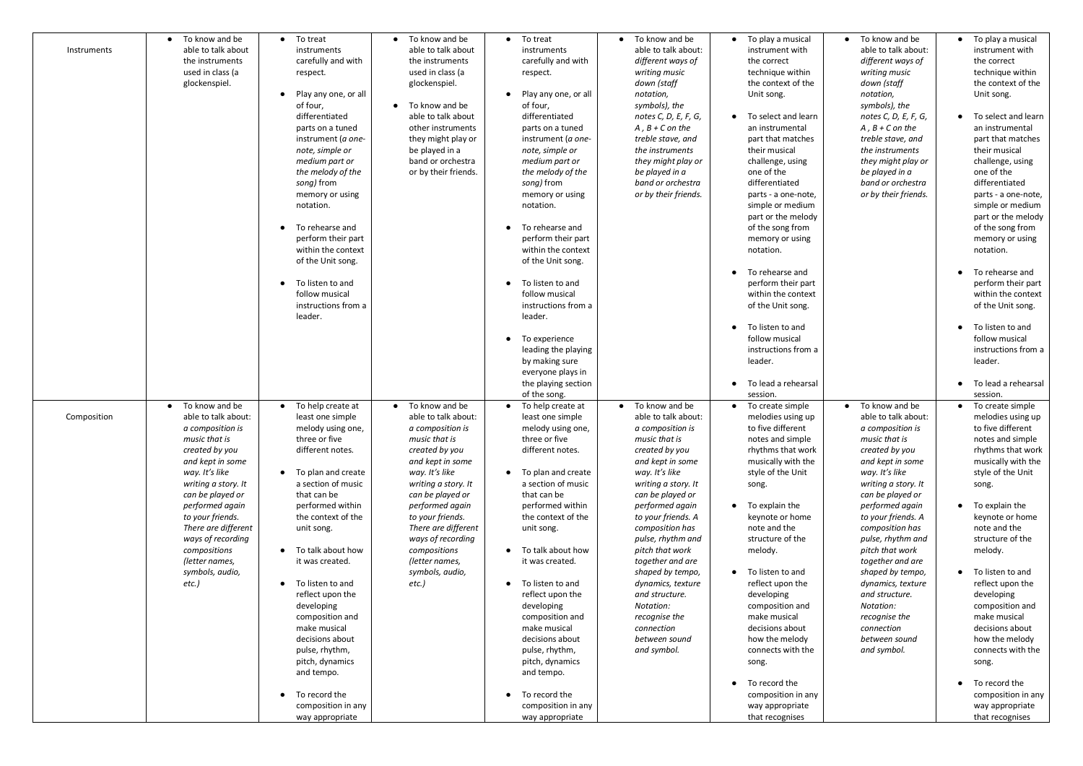| To know and be<br>able to talk about<br>Instruments<br>the instruments<br>used in class (a<br>glockenspiel.                                                                                                                                                                                                                                   | To treat<br>$\bullet$<br>instruments<br>carefully and with<br>respect.<br>Play any one, or all<br>of four,<br>differentiated<br>parts on a tuned<br>instrument (a one-<br>note, simple or<br>medium part or<br>the melody of the<br>song) from<br>memory or using<br>notation.<br>To rehearse and<br>perform their part<br>within the context<br>of the Unit song.<br>To listen to and<br>follow musical<br>instructions from a<br>leader.                                                           | $\bullet$ To know and be<br>able to talk about<br>the instruments<br>used in class (a<br>glockenspiel.<br>To know and be<br>able to talk about<br>other instruments<br>they might play or<br>be played in a<br>band or orchestra<br>or by their friends.                                                                                    | • To treat<br>instruments<br>carefully and with<br>respect.<br>Play any one, or all<br>of four,<br>differentiated<br>parts on a tuned<br>instrument (a one-<br>note, simple or<br>medium part or<br>the melody of the<br>song) from<br>memory or using<br>notation.<br>To rehearse and<br>perform their part<br>within the context<br>of the Unit song.<br>To listen to and<br>follow musical<br>instructions from a<br>leader.<br>• To experience<br>leading the playing<br>by making sure<br>everyone plays in<br>the playing section | To know and be<br>$\bullet$<br>able to talk about:<br>different ways of<br>writing music<br>down (staff<br>notation,<br>symbols), the<br>notes C, D, E, F, G,<br>$A, B + C$ on the<br>treble stave, and<br>the instruments<br>they might play or<br>be played in a<br>band or orchestra<br>or by their friends.                                                                                                                                           | To play a musical<br>instrument with<br>the correct<br>technique within<br>the context of the<br>Unit song.<br>To select and learn<br>an instrumental<br>part that matches<br>their musical<br>challenge, using<br>one of the<br>differentiated<br>parts - a one-note,<br>simple or medium<br>part or the melody<br>of the song from<br>memory or using<br>notation.<br>To rehearse and<br>perform their part<br>within the context<br>of the Unit song.<br>To listen to and<br>follow musical<br>instructions from a<br>leader.<br>To lead a rehearsal | • To know and be<br>able to talk about:<br>different ways of<br>writing music<br>down (staff<br>notation,<br>symbols), the<br>notes C, D, E, F, G,<br>$A, B + C$ on the<br>treble stave, and<br>the instruments<br>they might play or<br>be played in a<br>band or orchestra<br>or by their friends.                                                                                                                                           | To play a musical<br>instrument with<br>the correct<br>technique within<br>the context of the<br>Unit song.<br>To select and learn<br>an instrumental<br>part that matches<br>their musical<br>challenge, using<br>one of the<br>differentiated<br>parts - a one-note,<br>simple or medium<br>part or the melody<br>of the song from<br>memory or using<br>notation.<br>To rehearse and<br>perform their part<br>within the context<br>of the Unit song.<br>To listen to and<br>follow musical<br>instructions from a<br>leader.<br>To lead a rehearsal |
|-----------------------------------------------------------------------------------------------------------------------------------------------------------------------------------------------------------------------------------------------------------------------------------------------------------------------------------------------|------------------------------------------------------------------------------------------------------------------------------------------------------------------------------------------------------------------------------------------------------------------------------------------------------------------------------------------------------------------------------------------------------------------------------------------------------------------------------------------------------|---------------------------------------------------------------------------------------------------------------------------------------------------------------------------------------------------------------------------------------------------------------------------------------------------------------------------------------------|-----------------------------------------------------------------------------------------------------------------------------------------------------------------------------------------------------------------------------------------------------------------------------------------------------------------------------------------------------------------------------------------------------------------------------------------------------------------------------------------------------------------------------------------|-----------------------------------------------------------------------------------------------------------------------------------------------------------------------------------------------------------------------------------------------------------------------------------------------------------------------------------------------------------------------------------------------------------------------------------------------------------|---------------------------------------------------------------------------------------------------------------------------------------------------------------------------------------------------------------------------------------------------------------------------------------------------------------------------------------------------------------------------------------------------------------------------------------------------------------------------------------------------------------------------------------------------------|------------------------------------------------------------------------------------------------------------------------------------------------------------------------------------------------------------------------------------------------------------------------------------------------------------------------------------------------------------------------------------------------------------------------------------------------|---------------------------------------------------------------------------------------------------------------------------------------------------------------------------------------------------------------------------------------------------------------------------------------------------------------------------------------------------------------------------------------------------------------------------------------------------------------------------------------------------------------------------------------------------------|
| To know and be<br>able to talk about:<br>Composition<br>a composition is<br>music that is<br>created by you<br>and kept in some<br>way. It's like<br>writing a story. It<br>can be played or<br>performed again<br>to your friends.<br>There are different<br>ways of recording<br>compositions<br>(letter names,<br>symbols, audio,<br>etc.) | To help create at<br>least one simple<br>melody using one,<br>three or five<br>different notes.<br>To plan and create<br>a section of music<br>that can be<br>performed within<br>the context of the<br>unit song.<br>• To talk about how<br>it was created.<br>• To listen to and<br>reflect upon the<br>developing<br>composition and<br>make musical<br>decisions about<br>pulse, rhythm,<br>pitch, dynamics<br>and tempo.<br>To record the<br>$\bullet$<br>composition in any<br>way appropriate | To know and be<br>$\bullet$<br>able to talk about:<br>a composition is<br>music that is<br>created by you<br>and kept in some<br>way. It's like<br>writing a story. It<br>can be played or<br>performed again<br>to your friends.<br>There are different<br>ways of recording<br>compositions<br>(letter names,<br>symbols, audio,<br>etc.) | of the song.<br>• To help create at<br>least one simple<br>melody using one,<br>three or five<br>different notes.<br>• To plan and create<br>a section of music<br>that can be<br>performed within<br>the context of the<br>unit song.<br>• To talk about how<br>it was created.<br>• To listen to and<br>reflect upon the<br>developing<br>composition and<br>make musical<br>decisions about<br>pulse, rhythm,<br>pitch, dynamics<br>and tempo.<br>• To record the<br>composition in any<br>way appropriate                           | To know and be<br>$\bullet$<br>able to talk about:<br>a composition is<br>music that is<br>created by you<br>and kept in some<br>way. It's like<br>writing a story. It<br>can be played or<br>performed again<br>to your friends. A<br>composition has<br>pulse, rhythm and<br>pitch that work<br>together and are<br>shaped by tempo,<br>dynamics, texture<br>and structure.<br>Notation:<br>recognise the<br>connection<br>between sound<br>and symbol. | session.<br>To create simple<br>melodies using up<br>to five different<br>notes and simple<br>rhythms that work<br>musically with the<br>style of the Unit<br>song.<br>To explain the<br>keynote or home<br>note and the<br>structure of the<br>melody.<br>To listen to and<br>reflect upon the<br>developing<br>composition and<br>make musical<br>decisions about<br>how the melody<br>connects with the<br>song.<br>To record the<br>composition in any<br>way appropriate<br>that recognises                                                        | • To know and be<br>able to talk about:<br>a composition is<br>music that is<br>created by you<br>and kept in some<br>way. It's like<br>writing a story. It<br>can be played or<br>performed again<br>to your friends. A<br>composition has<br>pulse, rhythm and<br>pitch that work<br>together and are<br>shaped by tempo,<br>dynamics, texture<br>and structure.<br>Notation:<br>recognise the<br>connection<br>between sound<br>and symbol. | session.<br>To create simple<br>melodies using up<br>to five different<br>notes and simple<br>rhythms that work<br>musically with the<br>style of the Unit<br>song.<br>$\bullet$ To explain the<br>keynote or home<br>note and the<br>structure of the<br>melody.<br>• To listen to and<br>reflect upon the<br>developing<br>composition and<br>make musical<br>decisions about<br>how the melody<br>connects with the<br>song.<br>To record the<br>composition in any<br>way appropriate<br>that recognises                                            |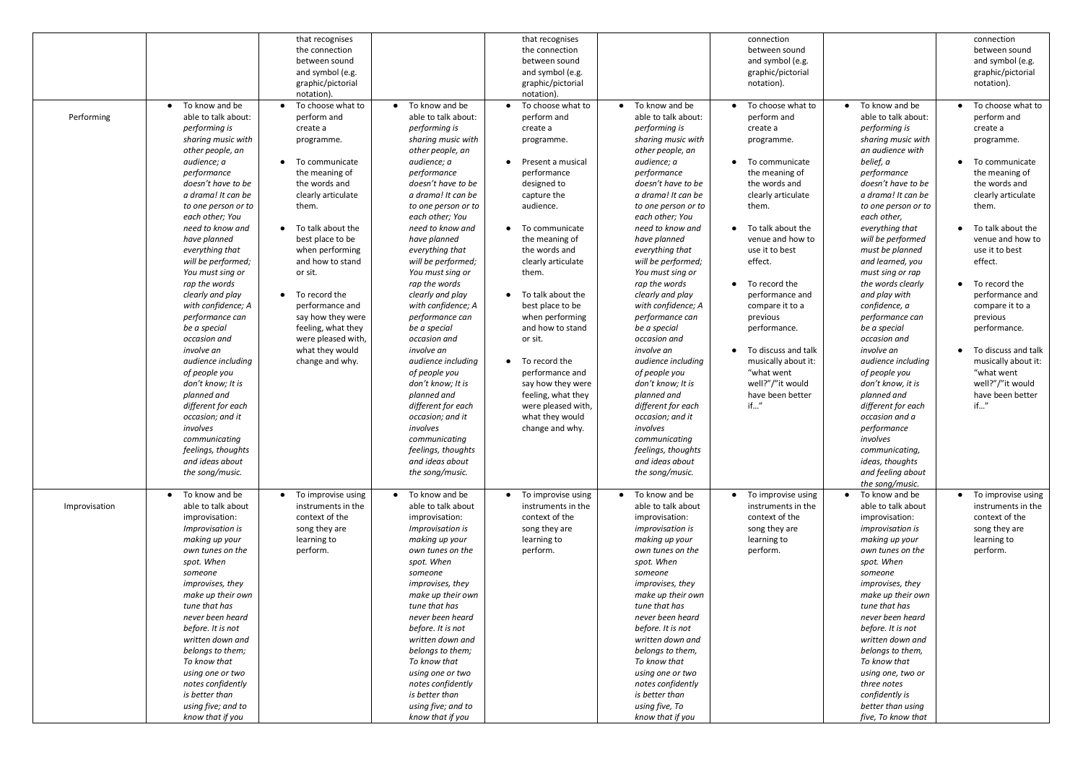|               |                     | that recognises                 |                     | that recognises         |                         | connection          |                         | connection            |
|---------------|---------------------|---------------------------------|---------------------|-------------------------|-------------------------|---------------------|-------------------------|-----------------------|
|               |                     | the connection                  |                     | the connection          |                         | between sound       |                         | between sound         |
|               |                     | between sound                   |                     | between sound           |                         | and symbol (e.g.    |                         | and symbol (e.g.      |
|               |                     | and symbol (e.g.                |                     | and symbol (e.g.        |                         | graphic/pictorial   |                         | graphic/pictorial     |
|               |                     |                                 |                     | graphic/pictorial       |                         |                     |                         |                       |
|               |                     | graphic/pictorial               |                     |                         |                         | notation).          |                         | notation).            |
|               |                     | notation)                       |                     | notation).              |                         |                     |                         |                       |
|               | To know and be      | To choose what to               | • To know and be    | • To choose what to     | • To know and be        | To choose what to   | • To know and be        | • To choose what to   |
| Performing    | able to talk about: | perform and                     | able to talk about: | perform and             | able to talk about:     | perform and         | able to talk about:     | perform and           |
|               | performing is       | create a                        | performing is       | create a                | performing is           | create a            | performing is           | create a              |
|               | sharing music with  | programme.                      | sharing music with  | programme.              | sharing music with      | programme.          | sharing music with      | programme.            |
|               | other people, an    |                                 | other people, an    |                         | other people, an        |                     | an audience with        |                       |
|               | audience; a         | To communicate<br>$\bullet$     | audience; a         | • Present a musical     | audience; a             | To communicate      | belief, a               | • To communicate      |
|               | performance         | the meaning of                  | performance         | performance             | performance             | the meaning of      | performance             | the meaning of        |
|               | doesn't have to be  | the words and                   | doesn't have to be  | designed to             | doesn't have to be      | the words and       | doesn't have to be      | the words and         |
|               | a drama! It can be  | clearly articulate              | a drama! It can be  | capture the             | a drama! It can be      | clearly articulate  | a drama! It can be      | clearly articulate    |
|               | to one person or to | them.                           | to one person or to | audience.               | to one person or to     | them.               | to one person or to     | them.                 |
|               | each other; You     |                                 | each other; You     |                         | each other; You         |                     | each other,             |                       |
|               | need to know and    | To talk about the<br>$\bullet$  | need to know and    | • To communicate        | need to know and        | To talk about the   | everything that         | • To talk about the   |
|               | have planned        | best place to be                | have planned        | the meaning of          | have planned            | venue and how to    | will be performed       | venue and how to      |
|               | everything that     | when performing                 | everything that     | the words and           | everything that         | use it to best      | must be planned         | use it to best        |
|               | will be performed;  | and how to stand                | will be performed;  | clearly articulate      | will be performed;      | effect.             | and learned, you        | effect.               |
|               |                     |                                 |                     |                         |                         |                     |                         |                       |
|               | You must sing or    | or sit.                         | You must sing or    | them.                   | You must sing or        |                     | must sing or rap        |                       |
|               | rap the words       |                                 | rap the words       |                         | rap the words           | To record the       | the words clearly       | • To record the       |
|               | clearly and play    | To record the<br>$\bullet$      | clearly and play    | • To talk about the     | clearly and play        | performance and     | and play with           | performance and       |
|               | with confidence; A  | performance and                 | with confidence; A  | best place to be        | with confidence; A      | compare it to a     | confidence, a           | compare it to a       |
|               | performance can     | say how they were               | performance can     | when performing         | performance can         | previous            | performance can         | previous              |
|               | be a special        | feeling, what they              | be a special        | and how to stand        | be a special            | performance.        | be a special            | performance.          |
|               | occasion and        | were pleased with,              | occasion and        | or sit.                 | occasion and            |                     | occasion and            |                       |
|               | involve an          | what they would                 | involve an          |                         | involve an              | To discuss and talk | involve an              | • To discuss and talk |
|               | audience including  | change and why.                 | audience including  | $\bullet$ To record the | audience including      | musically about it: | audience including      | musically about it:   |
|               | of people you       |                                 | of people you       | performance and         | of people you           | "what went          | of people you           | "what went            |
|               | don't know; It is   |                                 | don't know; It is   | say how they were       | don't know; It is       | well?"/"it would    | don't know, it is       | well?"/"it would      |
|               | planned and         |                                 | planned and         | feeling, what they      | planned and             | have been better    | planned and             | have been better      |
|               | different for each  |                                 | different for each  | were pleased with,      | different for each      | if"                 | different for each      | if"                   |
|               | occasion; and it    |                                 | occasion; and it    | what they would         | occasion; and it        |                     | occasion and a          |                       |
|               | involves            |                                 | involves            | change and why.         | involves                |                     | performance             |                       |
|               | communicating       |                                 | communicating       |                         | communicating           |                     | involves                |                       |
|               | feelings, thoughts  |                                 | feelings, thoughts  |                         | feelings, thoughts      |                     | communicating,          |                       |
|               | and ideas about     |                                 | and ideas about     |                         | and ideas about         |                     | ideas, thoughts         |                       |
|               | the song/music.     |                                 | the song/music.     |                         | the song/music.         |                     | and feeling about       |                       |
|               |                     |                                 |                     |                         |                         |                     | the song/music.         |                       |
|               | To know and be      | To improvise using<br>$\bullet$ | • To know and be    | • To improvise using    | • To know and be        | To improvise using  | To know and be          | • To improvise using  |
|               |                     |                                 |                     |                         |                         |                     |                         |                       |
| Improvisation | able to talk about  | instruments in the              | able to talk about  | instruments in the      | able to talk about      | instruments in the  | able to talk about      | instruments in the    |
|               | improvisation:      | context of the                  | improvisation:      | context of the          | improvisation:          | context of the      | improvisation:          | context of the        |
|               | Improvisation is    | song they are                   | Improvisation is    | song they are           | <i>improvisation is</i> | song they are       | <i>improvisation is</i> | song they are         |
|               | making up your      | learning to                     | making up your      | learning to             | making up your          | learning to         | making up your          | learning to           |
|               | own tunes on the    | perform.                        | own tunes on the    | perform.                | own tunes on the        | perform.            | own tunes on the        | perform.              |
|               | spot. When          |                                 | spot. When          |                         | spot. When              |                     | spot. When              |                       |
|               | someone             |                                 | someone             |                         | someone                 |                     | someone                 |                       |
|               | improvises, they    |                                 | improvises, they    |                         | improvises, they        |                     | improvises, they        |                       |
|               | make up their own   |                                 | make up their own   |                         | make up their own       |                     | make up their own       |                       |
|               | tune that has       |                                 | tune that has       |                         | tune that has           |                     | tune that has           |                       |
|               | never been heard    |                                 | never been heard    |                         | never been heard        |                     | never been heard        |                       |
|               | before. It is not   |                                 | before. It is not   |                         | before. It is not       |                     | before. It is not       |                       |
|               | written down and    |                                 | written down and    |                         | written down and        |                     | written down and        |                       |
|               | belongs to them;    |                                 | belongs to them;    |                         | belongs to them,        |                     | belongs to them,        |                       |
|               | To know that        |                                 | To know that        |                         | To know that            |                     | To know that            |                       |
|               | using one or two    |                                 | using one or two    |                         | using one or two        |                     | using one, two or       |                       |
|               | notes confidently   |                                 | notes confidently   |                         | notes confidently       |                     | three notes             |                       |
|               | is better than      |                                 | is better than      |                         | is better than          |                     | confidently is          |                       |
|               |                     |                                 | using five; and to  |                         |                         |                     | better than using       |                       |
|               | using five; and to  |                                 |                     |                         | using five, To          |                     |                         |                       |
|               | know that if you    |                                 | know that if you    |                         | know that if you        |                     | five, To know that      |                       |